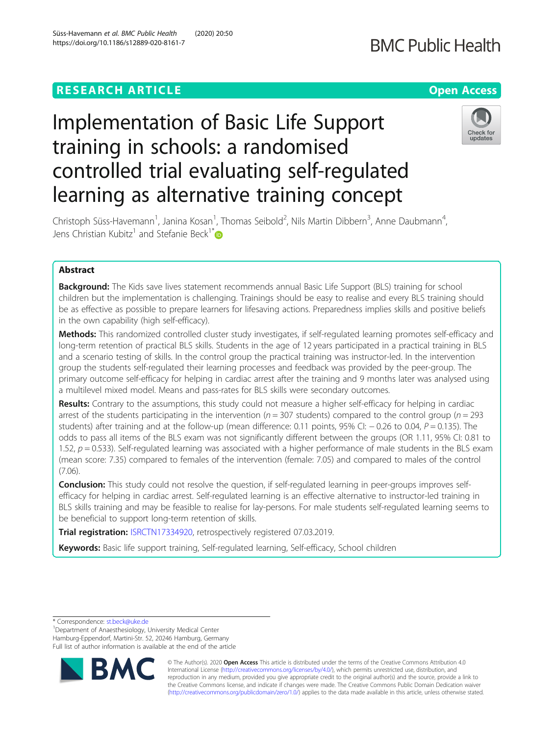# **RESEARCH ARTICLE Example 2014 12:30 The Contract of Contract ACCESS**

# Implementation of Basic Life Support training in schools: a randomised controlled trial evaluating self-regulated learning as alternative training concept

Christoph Süss-Havemann<sup>1</sup>, Janina Kosan<sup>1</sup>, Thomas Seibold<sup>2</sup>, Nils Martin Dibbern<sup>3</sup>, Anne Daubmann<sup>4</sup> , Jens Christian Kubitz<sup>1</sup> and Stefanie Beck<sup>1\*</sup>

# Abstract

**Background:** The Kids save lives statement recommends annual Basic Life Support (BLS) training for school children but the implementation is challenging. Trainings should be easy to realise and every BLS training should be as effective as possible to prepare learners for lifesaving actions. Preparedness implies skills and positive beliefs in the own capability (high self-efficacy).

Methods: This randomized controlled cluster study investigates, if self-regulated learning promotes self-efficacy and long-term retention of practical BLS skills. Students in the age of 12 years participated in a practical training in BLS and a scenario testing of skills. In the control group the practical training was instructor-led. In the intervention group the students self-regulated their learning processes and feedback was provided by the peer-group. The primary outcome self-efficacy for helping in cardiac arrest after the training and 9 months later was analysed using a multilevel mixed model. Means and pass-rates for BLS skills were secondary outcomes.

Results: Contrary to the assumptions, this study could not measure a higher self-efficacy for helping in cardiac arrest of the students participating in the intervention ( $n = 307$  students) compared to the control group ( $n = 293$ students) after training and at the follow-up (mean difference: 0.11 points, 95% CI:  $-$  0.26 to 0.04,  $P = 0.135$ ). The odds to pass all items of the BLS exam was not significantly different between the groups (OR 1.11, 95% CI: 0.81 to 1.52,  $p = 0.533$ ). Self-regulated learning was associated with a higher performance of male students in the BLS exam (mean score: 7.35) compared to females of the intervention (female: 7.05) and compared to males of the control (7.06).

**Conclusion:** This study could not resolve the question, if self-regulated learning in peer-groups improves selfefficacy for helping in cardiac arrest. Self-regulated learning is an effective alternative to instructor-led training in BLS skills training and may be feasible to realise for lay-persons. For male students self-regulated learning seems to be beneficial to support long-term retention of skills.

Trial registration: [ISRCTN17334920](https://www.isrctn.com/ISRCTN17334920?q=ISRCTN17334920&filters=&sort=&offset=1&totalResults=1&page=1&pageSize=10&searchType=basic-search), retrospectively registered 07.03.2019.

Keywords: Basic life support training, Self-regulated learning, Self-efficacy, School children

\* Correspondence: [st.beck@uke.de](mailto:st.beck@uke.de) <sup>1</sup>

BA

<sup>1</sup>Department of Anaesthesiology, University Medical Center

Hamburg-Eppendorf, Martini-Str. 52, 20246 Hamburg, Germany

Full list of author information is available at the end of the article







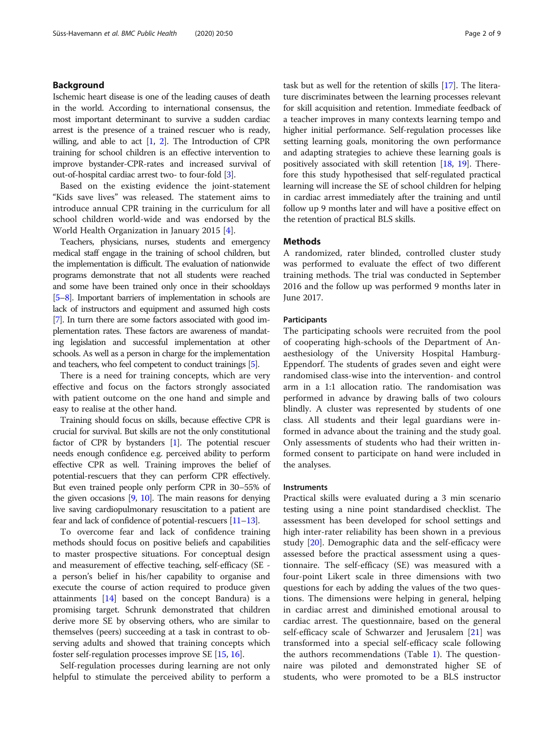# Background

Ischemic heart disease is one of the leading causes of death in the world. According to international consensus, the most important determinant to survive a sudden cardiac arrest is the presence of a trained rescuer who is ready, willing, and able to act  $[1, 2]$  $[1, 2]$  $[1, 2]$  $[1, 2]$ . The Introduction of CPR training for school children is an effective intervention to improve bystander-CPR-rates and increased survival of out-of-hospital cardiac arrest two- to four-fold [[3](#page-7-0)].

Based on the existing evidence the joint-statement "Kids save lives" was released. The statement aims to introduce annual CPR training in the curriculum for all school children world-wide and was endorsed by the World Health Organization in January 2015 [\[4\]](#page-7-0).

Teachers, physicians, nurses, students and emergency medical staff engage in the training of school children, but the implementation is difficult. The evaluation of nationwide programs demonstrate that not all students were reached and some have been trained only once in their schooldays [[5](#page-7-0)–[8](#page-7-0)]. Important barriers of implementation in schools are lack of instructors and equipment and assumed high costs [[7](#page-7-0)]. In turn there are some factors associated with good implementation rates. These factors are awareness of mandating legislation and successful implementation at other schools. As well as a person in charge for the implementation and teachers, who feel competent to conduct trainings [[5](#page-7-0)].

There is a need for training concepts, which are very effective and focus on the factors strongly associated with patient outcome on the one hand and simple and easy to realise at the other hand.

Training should focus on skills, because effective CPR is crucial for survival. But skills are not the only constitutional factor of CPR by bystanders [[1](#page-7-0)]. The potential rescuer needs enough confidence e.g. perceived ability to perform effective CPR as well. Training improves the belief of potential-rescuers that they can perform CPR effectively. But even trained people only perform CPR in 30–55% of the given occasions [[9,](#page-7-0) [10\]](#page-7-0). The main reasons for denying live saving cardiopulmonary resuscitation to a patient are fear and lack of confidence of potential-rescuers [\[11](#page-7-0)–[13](#page-7-0)].

To overcome fear and lack of confidence training methods should focus on positive beliefs and capabilities to master prospective situations. For conceptual design and measurement of effective teaching, self-efficacy (SE a person's belief in his/her capability to organise and execute the course of action required to produce given attainments [[14](#page-7-0)] based on the concept Bandura) is a promising target. Schrunk demonstrated that children derive more SE by observing others, who are similar to themselves (peers) succeeding at a task in contrast to observing adults and showed that training concepts which foster self-regulation processes improve SE [[15](#page-7-0), [16\]](#page-7-0).

Self-regulation processes during learning are not only helpful to stimulate the perceived ability to perform a

task but as well for the retention of skills [[17](#page-7-0)]. The literature discriminates between the learning processes relevant for skill acquisition and retention. Immediate feedback of a teacher improves in many contexts learning tempo and higher initial performance. Self-regulation processes like setting learning goals, monitoring the own performance and adapting strategies to achieve these learning goals is positively associated with skill retention [\[18,](#page-7-0) [19\]](#page-7-0). Therefore this study hypothesised that self-regulated practical learning will increase the SE of school children for helping in cardiac arrest immediately after the training and until follow up 9 months later and will have a positive effect on the retention of practical BLS skills.

# **Mathods**

A randomized, rater blinded, controlled cluster study was performed to evaluate the effect of two different training methods. The trial was conducted in September 2016 and the follow up was performed 9 months later in June 2017.

# Participants

The participating schools were recruited from the pool of cooperating high-schools of the Department of Anaesthesiology of the University Hospital Hamburg-Eppendorf. The students of grades seven and eight were randomised class-wise into the intervention- and control arm in a 1:1 allocation ratio. The randomisation was performed in advance by drawing balls of two colours blindly. A cluster was represented by students of one class. All students and their legal guardians were informed in advance about the training and the study goal. Only assessments of students who had their written informed consent to participate on hand were included in the analyses.

# Instruments

Practical skills were evaluated during a 3 min scenario testing using a nine point standardised checklist. The assessment has been developed for school settings and high inter-rater reliability has been shown in a previous study [[20](#page-7-0)]. Demographic data and the self-efficacy were assessed before the practical assessment using a questionnaire. The self-efficacy (SE) was measured with a four-point Likert scale in three dimensions with two questions for each by adding the values of the two questions. The dimensions were helping in general, helping in cardiac arrest and diminished emotional arousal to cardiac arrest. The questionnaire, based on the general self-efficacy scale of Schwarzer and Jerusalem [\[21\]](#page-7-0) was transformed into a special self-efficacy scale following the authors recommendations (Table [1\)](#page-2-0). The questionnaire was piloted and demonstrated higher SE of students, who were promoted to be a BLS instructor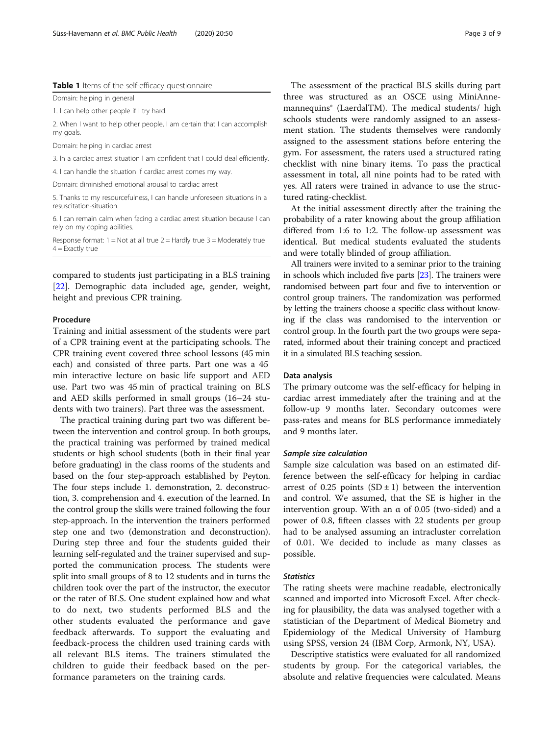## <span id="page-2-0"></span>Table 1 Items of the self-efficacy questionnaire

Domain: helping in general

1. I can help other people if I try hard.

2. When I want to help other people, I am certain that I can accomplish my goals.

Domain: helping in cardiac arrest

3. In a cardiac arrest situation I am confident that I could deal efficiently.

4. I can handle the situation if cardiac arrest comes my way.

Domain: diminished emotional arousal to cardiac arrest

5. Thanks to my resourcefulness, I can handle unforeseen situations in a resuscitation-situation.

6. I can remain calm when facing a cardiac arrest situation because I can rely on my coping abilities.

Response format:  $1 = Not$  at all true  $2 = Hardlv$  true  $3 = Model$  true  $4 =$  Exactly true

compared to students just participating in a BLS training [[22\]](#page-7-0). Demographic data included age, gender, weight, height and previous CPR training.

# Procedure

Training and initial assessment of the students were part of a CPR training event at the participating schools. The CPR training event covered three school lessons (45 min each) and consisted of three parts. Part one was a 45 min interactive lecture on basic life support and AED use. Part two was 45 min of practical training on BLS and AED skills performed in small groups (16–24 students with two trainers). Part three was the assessment.

The practical training during part two was different between the intervention and control group. In both groups, the practical training was performed by trained medical students or high school students (both in their final year before graduating) in the class rooms of the students and based on the four step-approach established by Peyton. The four steps include 1. demonstration, 2. deconstruction, 3. comprehension and 4. execution of the learned. In the control group the skills were trained following the four step-approach. In the intervention the trainers performed step one and two (demonstration and deconstruction). During step three and four the students guided their learning self-regulated and the trainer supervised and supported the communication process. The students were split into small groups of 8 to 12 students and in turns the children took over the part of the instructor, the executor or the rater of BLS. One student explained how and what to do next, two students performed BLS and the other students evaluated the performance and gave feedback afterwards. To support the evaluating and feedback-process the children used training cards with all relevant BLS items. The trainers stimulated the children to guide their feedback based on the performance parameters on the training cards.

The assessment of the practical BLS skills during part three was structured as an OSCE using MiniAnnemannequins® (LaerdalTM). The medical students/ high schools students were randomly assigned to an assessment station. The students themselves were randomly assigned to the assessment stations before entering the gym. For assessment, the raters used a structured rating checklist with nine binary items. To pass the practical assessment in total, all nine points had to be rated with yes. All raters were trained in advance to use the structured rating-checklist.

At the initial assessment directly after the training the probability of a rater knowing about the group affiliation differed from 1:6 to 1:2. The follow-up assessment was identical. But medical students evaluated the students and were totally blinded of group affiliation.

All trainers were invited to a seminar prior to the training in schools which included five parts [\[23\]](#page-7-0). The trainers were randomised between part four and five to intervention or control group trainers. The randomization was performed by letting the trainers choose a specific class without knowing if the class was randomised to the intervention or control group. In the fourth part the two groups were separated, informed about their training concept and practiced it in a simulated BLS teaching session.

#### Data analysis

The primary outcome was the self-efficacy for helping in cardiac arrest immediately after the training and at the follow-up 9 months later. Secondary outcomes were pass-rates and means for BLS performance immediately and 9 months later.

# Sample size calculation

Sample size calculation was based on an estimated difference between the self-efficacy for helping in cardiac arrest of 0.25 points  $(SD \pm 1)$  between the intervention and control. We assumed, that the SE is higher in the intervention group. With an  $\alpha$  of 0.05 (two-sided) and a power of 0.8, fifteen classes with 22 students per group had to be analysed assuming an intracluster correlation of 0.01. We decided to include as many classes as possible.

#### Statistics

The rating sheets were machine readable, electronically scanned and imported into Microsoft Excel. After checking for plausibility, the data was analysed together with a statistician of the Department of Medical Biometry and Epidemiology of the Medical University of Hamburg using SPSS, version 24 (IBM Corp, Armonk, NY, USA).

Descriptive statistics were evaluated for all randomized students by group. For the categorical variables, the absolute and relative frequencies were calculated. Means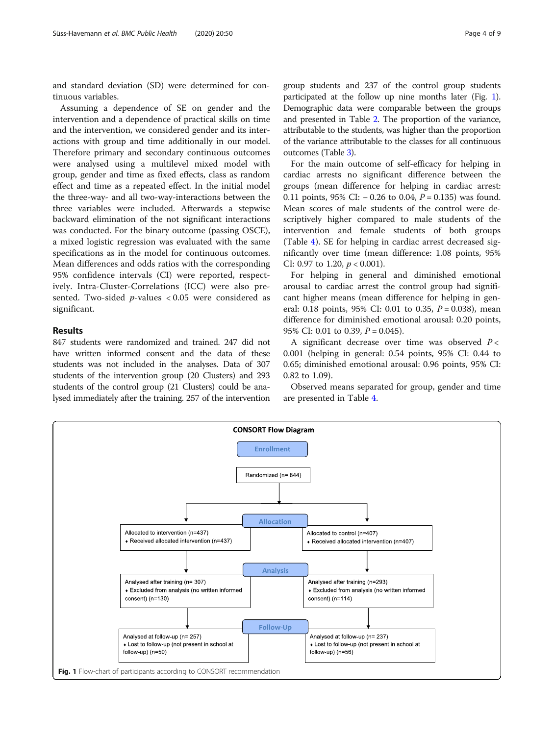and standard deviation (SD) were determined for continuous variables.

Assuming a dependence of SE on gender and the intervention and a dependence of practical skills on time and the intervention, we considered gender and its interactions with group and time additionally in our model. Therefore primary and secondary continuous outcomes were analysed using a multilevel mixed model with group, gender and time as fixed effects, class as random effect and time as a repeated effect. In the initial model the three-way- and all two-way-interactions between the three variables were included. Afterwards a stepwise backward elimination of the not significant interactions was conducted. For the binary outcome (passing OSCE), a mixed logistic regression was evaluated with the same specifications as in the model for continuous outcomes. Mean differences and odds ratios with the corresponding 95% confidence intervals (CI) were reported, respectively. Intra-Cluster-Correlations (ICC) were also presented. Two-sided p-values < 0.05 were considered as significant.

# Results

847 students were randomized and trained. 247 did not have written informed consent and the data of these students was not included in the analyses. Data of 307 students of the intervention group (20 Clusters) and 293 students of the control group (21 Clusters) could be analysed immediately after the training. 257 of the intervention

group students and 237 of the control group students participated at the follow up nine months later (Fig. 1). Demographic data were comparable between the groups and presented in Table [2](#page-4-0). The proportion of the variance, attributable to the students, was higher than the proportion of the variance attributable to the classes for all continuous outcomes (Table [3\)](#page-4-0).

For the main outcome of self-efficacy for helping in cardiac arrests no significant difference between the groups (mean difference for helping in cardiac arrest: 0.11 points, 95% CI: − 0.26 to 0.04, *P* = 0.135) was found. Mean scores of male students of the control were descriptively higher compared to male students of the intervention and female students of both groups (Table [4](#page-5-0)). SE for helping in cardiac arrest decreased significantly over time (mean difference: 1.08 points, 95% CI: 0.97 to 1.20,  $p < 0.001$ ).

For helping in general and diminished emotional arousal to cardiac arrest the control group had significant higher means (mean difference for helping in general: 0.18 points, 95% CI: 0.01 to 0.35,  $P = 0.038$ ), mean difference for diminished emotional arousal: 0.20 points, 95% CI: 0.01 to 0.39,  $P = 0.045$ ).

A significant decrease over time was observed  $P <$ 0.001 (helping in general: 0.54 points, 95% CI: 0.44 to 0.65; diminished emotional arousal: 0.96 points, 95% CI: 0.82 to 1.09).

Observed means separated for group, gender and time are presented in Table [4.](#page-5-0)

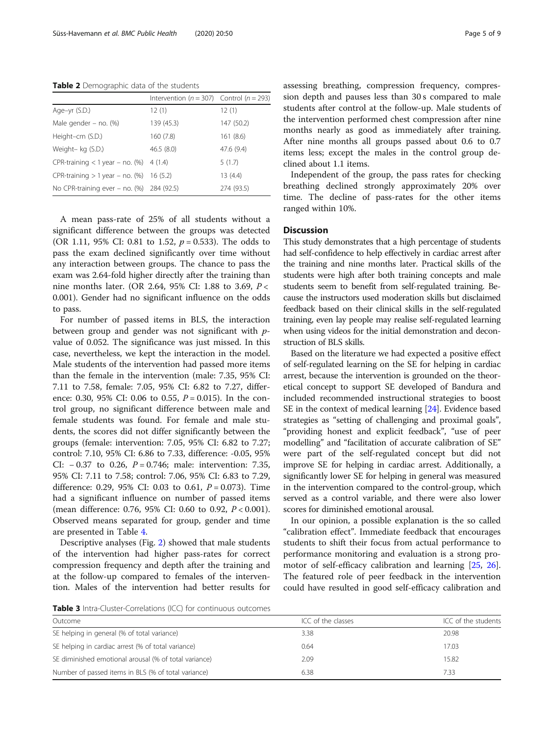<span id="page-4-0"></span>Table 2 Demographic data of the students

|                                               | Intervention ( $n = 307$ ) Control ( $n = 293$ ) |            |
|-----------------------------------------------|--------------------------------------------------|------------|
| Age-yr (S.D.)                                 | 12(1)                                            | 12(1)      |
| Male gender $-$ no. $(\%)$                    | 139 (45.3)                                       | 147 (50.2) |
| Height-cm (S.D.)                              | 160(7.8)                                         | 161(8.6)   |
| Weight- kg (S.D.)                             | 46.5(8.0)                                        | 47.6 (9.4) |
| $CPR$ -training < 1 year – no. (%) 4 (1.4)    |                                                  | 5(1.7)     |
| $CPR$ -training $> 1$ year – no. (%) 16 (5.2) |                                                  | 13(4.4)    |
| No CPR-training ever - no. (%) 284 (92.5)     |                                                  | 274 (93.5) |

A mean pass-rate of 25% of all students without a significant difference between the groups was detected (OR 1.11, 95% CI: 0.81 to 1.52,  $p = 0.533$ ). The odds to pass the exam declined significantly over time without any interaction between groups. The chance to pass the exam was 2.64-fold higher directly after the training than nine months later. (OR 2.64, 95% CI: 1.88 to 3.69, P < 0.001). Gender had no significant influence on the odds to pass.

For number of passed items in BLS, the interaction between group and gender was not significant with pvalue of 0.052. The significance was just missed. In this case, nevertheless, we kept the interaction in the model. Male students of the intervention had passed more items than the female in the intervention (male: 7.35, 95% CI: 7.11 to 7.58, female: 7.05, 95% CI: 6.82 to 7.27, difference: 0.30, 95% CI: 0.06 to 0.55,  $P = 0.015$ ). In the control group, no significant difference between male and female students was found. For female and male students, the scores did not differ significantly between the groups (female: intervention: 7.05, 95% CI: 6.82 to 7.27; control: 7.10, 95% CI: 6.86 to 7.33, difference: -0.05, 95% CI:  $-0.37$  to 0.26,  $P = 0.746$ ; male: intervention: 7.35, 95% CI: 7.11 to 7.58; control: 7.06, 95% CI: 6.83 to 7.29, difference: 0.29, 95% CI: 0.03 to 0.61,  $P = 0.073$ ). Time had a significant influence on number of passed items (mean difference: 0.76, 95% CI: 0.60 to 0.92, P < 0.001). Observed means separated for group, gender and time are presented in Table [4](#page-5-0).

Descriptive analyses (Fig. [2](#page-5-0)) showed that male students of the intervention had higher pass-rates for correct compression frequency and depth after the training and at the follow-up compared to females of the intervention. Males of the intervention had better results for assessing breathing, compression frequency, compression depth and pauses less than 30 s compared to male students after control at the follow-up. Male students of the intervention performed chest compression after nine months nearly as good as immediately after training. After nine months all groups passed about 0.6 to 0.7 items less; except the males in the control group declined about 1.1 items.

Independent of the group, the pass rates for checking breathing declined strongly approximately 20% over time. The decline of pass-rates for the other items ranged within 10%.

# **Discussion**

This study demonstrates that a high percentage of students had self-confidence to help effectively in cardiac arrest after the training and nine months later. Practical skills of the students were high after both training concepts and male students seem to benefit from self-regulated training. Because the instructors used moderation skills but disclaimed feedback based on their clinical skills in the self-regulated training, even lay people may realise self-regulated learning when using videos for the initial demonstration and deconstruction of BLS skills.

Based on the literature we had expected a positive effect of self-regulated learning on the SE for helping in cardiac arrest, because the intervention is grounded on the theoretical concept to support SE developed of Bandura and included recommended instructional strategies to boost SE in the context of medical learning [[24](#page-7-0)]. Evidence based strategies as "setting of challenging and proximal goals", "providing honest and explicit feedback", "use of peer modelling" and "facilitation of accurate calibration of SE" were part of the self-regulated concept but did not improve SE for helping in cardiac arrest. Additionally, a significantly lower SE for helping in general was measured in the intervention compared to the control-group, which served as a control variable, and there were also lower scores for diminished emotional arousal.

In our opinion, a possible explanation is the so called "calibration effect". Immediate feedback that encourages students to shift their focus from actual performance to performance monitoring and evaluation is a strong promotor of self-efficacy calibration and learning [[25,](#page-7-0) [26](#page-8-0)]. The featured role of peer feedback in the intervention could have resulted in good self-efficacy calibration and

Table 3 Intra-Cluster-Correlations (ICC) for continuous outcomes

| Outcome                                               | ICC of the classes | ICC of the students |  |
|-------------------------------------------------------|--------------------|---------------------|--|
| SE helping in general (% of total variance)           | 3.38               | 20.98               |  |
| SE helping in cardiac arrest (% of total variance)    | 0.64               | 17.03               |  |
| SE diminished emotional arousal (% of total variance) | 2.09               | 15.82               |  |
| Number of passed items in BLS (% of total variance)   | 6.38               | 7.33                |  |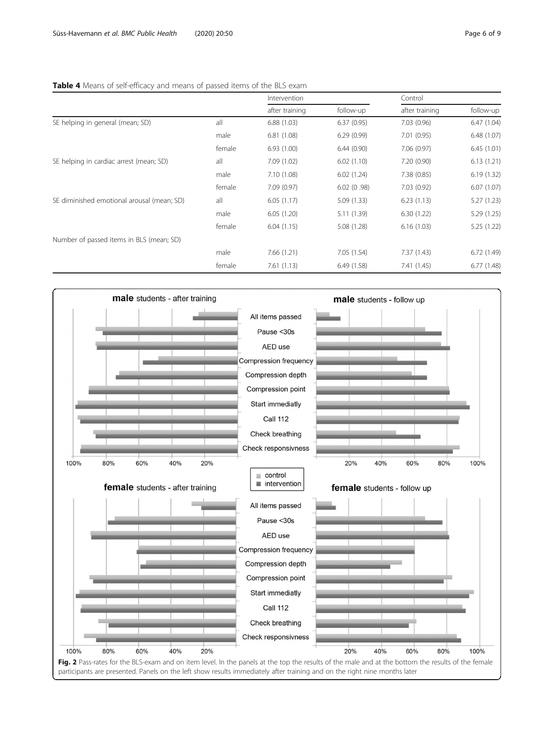# <span id="page-5-0"></span>Table 4 Means of self-efficacy and means of passed items of the BLS exam

|                                            |        | Intervention   |             | Control        |             |
|--------------------------------------------|--------|----------------|-------------|----------------|-------------|
|                                            |        | after training | follow-up   | after training | follow-up   |
| SE helping in general (mean; SD)           | all    | 6.88(1.03)     | 6.37(0.95)  | 7.03(0.96)     | 6.47(1.04)  |
|                                            | male   | 6.81(1.08)     | 6.29(0.99)  | 7.01(0.95)     | 6.48(1.07)  |
|                                            | female | 6.93(1.00)     | 6.44(0.90)  | 7.06 (0.97)    | 6.45(1.01)  |
| SE helping in cardiac arrest (mean; SD)    | all    | 7.09(1.02)     | 6.02(1.10)  | 7.20(0.90)     | 6.13(1.21)  |
|                                            | male   | 7.10 (1.08)    | 6.02(1.24)  | 7.38(0.85)     | 6.19(1.32)  |
|                                            | female | 7.09(0.97)     | 6.02(0.98)  | 7.03(0.92)     | 6.07(1.07)  |
| SE diminished emotional arousal (mean; SD) | all    | 6.05(1.17)     | 5.09(1.33)  | 6.23(1.13)     | 5.27(1.23)  |
|                                            | male   | 6.05(1.20)     | 5.11 (1.39) | 6.30(1.22)     | 5.29 (1.25) |
|                                            | female | 6.04(1.15)     | 5.08 (1.28) | 6.16(1.03)     | 5.25 (1.22) |
| Number of passed items in BLS (mean; SD)   |        |                |             |                |             |
|                                            | male   | 7.66(1.21)     | 7.05(1.54)  | 7.37(1.43)     | 6.72(1.49)  |
|                                            | female | 7.61(1.13)     | 6.49(1.58)  | 7.41 (1.45)    | 6.77(1.48)  |

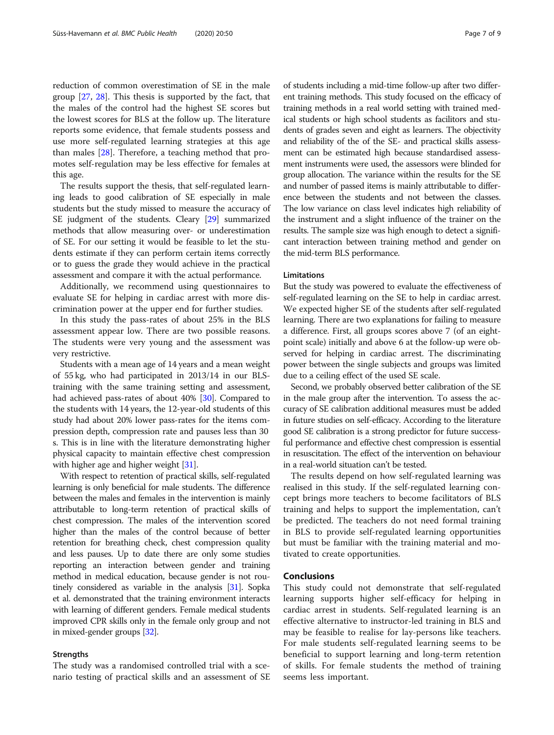reduction of common overestimation of SE in the male group [\[27](#page-8-0), [28\]](#page-8-0). This thesis is supported by the fact, that the males of the control had the highest SE scores but the lowest scores for BLS at the follow up. The literature reports some evidence, that female students possess and use more self-regulated learning strategies at this age than males [\[28](#page-8-0)]. Therefore, a teaching method that promotes self-regulation may be less effective for females at this age.

The results support the thesis, that self-regulated learning leads to good calibration of SE especially in male students but the study missed to measure the accuracy of SE judgment of the students. Cleary [\[29\]](#page-8-0) summarized methods that allow measuring over- or underestimation of SE. For our setting it would be feasible to let the students estimate if they can perform certain items correctly or to guess the grade they would achieve in the practical assessment and compare it with the actual performance.

Additionally, we recommend using questionnaires to evaluate SE for helping in cardiac arrest with more discrimination power at the upper end for further studies.

In this study the pass-rates of about 25% in the BLS assessment appear low. There are two possible reasons. The students were very young and the assessment was very restrictive.

Students with a mean age of 14 years and a mean weight of 55 kg, who had participated in 2013/14 in our BLStraining with the same training setting and assessment, had achieved pass-rates of about 40% [[30\]](#page-8-0). Compared to the students with 14 years, the 12-year-old students of this study had about 20% lower pass-rates for the items compression depth, compression rate and pauses less than 30 s. This is in line with the literature demonstrating higher physical capacity to maintain effective chest compression with higher age and higher weight [\[31](#page-8-0)].

With respect to retention of practical skills, self-regulated learning is only beneficial for male students. The difference between the males and females in the intervention is mainly attributable to long-term retention of practical skills of chest compression. The males of the intervention scored higher than the males of the control because of better retention for breathing check, chest compression quality and less pauses. Up to date there are only some studies reporting an interaction between gender and training method in medical education, because gender is not routinely considered as variable in the analysis [\[31\]](#page-8-0). Sopka et al. demonstrated that the training environment interacts with learning of different genders. Female medical students improved CPR skills only in the female only group and not in mixed-gender groups [\[32\]](#page-8-0).

# Strengths

The study was a randomised controlled trial with a scenario testing of practical skills and an assessment of SE of students including a mid-time follow-up after two different training methods. This study focused on the efficacy of training methods in a real world setting with trained medical students or high school students as facilitors and students of grades seven and eight as learners. The objectivity and reliability of the of the SE- and practical skills assessment can be estimated high because standardised assessment instruments were used, the assessors were blinded for group allocation. The variance within the results for the SE and number of passed items is mainly attributable to difference between the students and not between the classes. The low variance on class level indicates high reliability of the instrument and a slight influence of the trainer on the results. The sample size was high enough to detect a significant interaction between training method and gender on the mid-term BLS performance.

# Limitations

But the study was powered to evaluate the effectiveness of self-regulated learning on the SE to help in cardiac arrest. We expected higher SE of the students after self-regulated learning. There are two explanations for failing to measure a difference. First, all groups scores above 7 (of an eightpoint scale) initially and above 6 at the follow-up were observed for helping in cardiac arrest. The discriminating power between the single subjects and groups was limited due to a ceiling effect of the used SE scale.

Second, we probably observed better calibration of the SE in the male group after the intervention. To assess the accuracy of SE calibration additional measures must be added in future studies on self-efficacy. According to the literature good SE calibration is a strong predictor for future successful performance and effective chest compression is essential in resuscitation. The effect of the intervention on behaviour in a real-world situation can't be tested.

The results depend on how self-regulated learning was realised in this study. If the self-regulated learning concept brings more teachers to become facilitators of BLS training and helps to support the implementation, can't be predicted. The teachers do not need formal training in BLS to provide self-regulated learning opportunities but must be familiar with the training material and motivated to create opportunities.

# Conclusions

This study could not demonstrate that self-regulated learning supports higher self-efficacy for helping in cardiac arrest in students. Self-regulated learning is an effective alternative to instructor-led training in BLS and may be feasible to realise for lay-persons like teachers. For male students self-regulated learning seems to be beneficial to support learning and long-term retention of skills. For female students the method of training seems less important.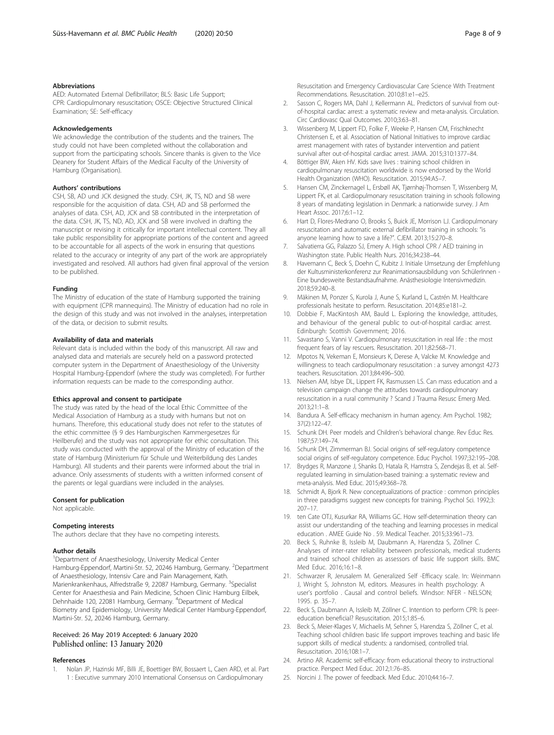## <span id="page-7-0"></span>Abbreviations

AED: Automated External Defibrillator; BLS: Basic Life Support; CPR: Cardiopulmonary resuscitation; OSCE: Objective Structured Clinical Examination; SE: Self-efficacy

#### Acknowledgements

We acknowledge the contribution of the students and the trainers. The study could not have been completed without the collaboration and support from the participating schools. Sincere thanks is given to the Vice Deanery for Student Affairs of the Medical Faculty of the University of Hamburg (Organisation).

#### Authors' contributions

CSH, SB, AD und JCK designed the study. CSH, JK, TS, ND and SB were responsible for the acquisition of data. CSH, AD and SB performed the analyses of data. CSH, AD, JCK and SB contributed in the interpretation of the data. CSH, JK, TS, ND, AD, JCK and SB were involved in drafting the manuscript or revising it critically for important intellectual content. They all take public responsibility for appropriate portions of the content and agreed to be accountable for all aspects of the work in ensuring that questions related to the accuracy or integrity of any part of the work are appropriately investigated and resolved. All authors had given final approval of the version to be published.

#### Funding

The Ministry of education of the state of Hamburg supported the training with equipment (CPR mannequins). The Ministry of education had no role in the design of this study and was not involved in the analyses, interpretation of the data, or decision to submit results.

#### Availability of data and materials

Relevant data is included within the body of this manuscript. All raw and analysed data and materials are securely held on a password protected computer system in the Department of Anaesthesiology of the University Hospital Hamburg-Eppendorf (where the study was completed). For further information requests can be made to the corresponding author.

## Ethics approval and consent to participate

The study was rated by the head of the local Ethic Committee of the Medical Association of Hamburg as a study with humans but not on humans. Therefore, this educational study does not refer to the statutes of the ethic committee (§ 9 des Hamburgischen Kammergesetzes für Heilberufe) and the study was not appropriate for ethic consultation. This study was conducted with the approval of the Ministry of education of the state of Hamburg (Ministerium für Schule und Weiterbildung des Landes Hamburg). All students and their parents were informed about the trial in advance. Only assessments of students with a written informed consent of the parents or legal guardians were included in the analyses.

#### Consent for publication

Not applicable.

#### Competing interests

The authors declare that they have no competing interests.

### Author details

<sup>1</sup>Department of Anaesthesiology, University Medical Center Hamburg-Eppendorf, Martini-Str. 52, 20246 Hamburg, Germany. <sup>2</sup>Department of Anaesthesiology, Intensiv Care and Pain Management, Kath. Marienkrankenhaus, Alfredstraße 9, 22087 Hamburg, Germany. <sup>3</sup>Specialist Center for Anaesthesia and Pain Medicine, Schoen Clinic Hamburg Eilbek, Dehnhaide 120, 22081 Hamburg, Germany. <sup>4</sup>Department of Medical Biometry and Epidemiology, University Medical Center Hamburg-Eppendorf, Martini-Str. 52, 20246 Hamburg, Germany.

# Received: 26 May 2019 Accepted: 6 January 2020 Published online: 13 January 2020

#### References

1. Nolan JP, Hazinski MF, Billi JE, Boettiger BW, Bossaert L, Caen ARD, et al. Part 1 : Executive summary 2010 International Consensus on Cardiopulmonary

Resuscitation and Emergency Cardiovascular Care Science With Treatment Recommendations. Resuscitation. 2010;81:e1–e25.

- 2. Sasson C, Rogers MA, Dahl J, Kellermann AL. Predictors of survival from outof-hospital cardiac arrest: a systematic review and meta-analysis. Circulation. Circ Cardiovasc Qual Outcomes. 2010;3:63–81.
- 3. Wissenberg M, Lippert FD, Folke F, Weeke P, Hansen CM, Frischknecht Christensen E, et al. Association of National Initiatives to improve cardiac arrest management with rates of bystander intervention and patient survival after out-of-hospital cardiac arrest. JAMA. 2015;310:1377–84.
- 4. Böttiger BW, Aken HV. Kids save lives : training school children in cardiopulmonary resuscitation worldwide is now endorsed by the World Health Organization (WHO). Resuscitation. 2015;94:A5–7.
- 5. Hansen CM, Zinckernagel L, Ersbøll AK, Tjørnhøj-Thomsen T, Wissenberg M, Lippert FK, et al. Cardiopulmonary resuscitation training in schools following 8 years of mandating legislation in Denmark: a nationwide survey. J Am Heart Assoc. 2017;6:1–12.
- 6. Hart D, Flores-Medrano O, Brooks S, Buick JE, Morrison LJ. Cardiopulmonary resuscitation and automatic external defibrillator training in schools: "is anyone learning how to save a life?". CJEM. 2013;15:270–8.
- 7. Salvatierra GG, Palazzo SJ, Emery A. High school CPR / AED training in Washington state. Public Health Nurs. 2016;34:238–44.
- 8. Havemann C, Beck S, Doehn C, Kubitz J. Initiale Umsetzung der Empfehlung der Kultusministerkonferenz zur Reanimationsausbildung von SchülerInnen - Eine bundesweite Bestandsaufnahme. Anästhesiologie Intensivmedizin. 2018;59:240–8.
- 9. Mäkinen M, Ponzer S, Kurola J, Aune S, Kurland L, Castrén M. Healthcare professionals hesitate to perform. Resuscitation. 2014;85:e181–2.
- 10. Dobbie F, MacKintosh AM, Bauld L. Exploring the knowledge, attitudes, and behaviour of the general public to out-of-hospital cardiac arrest. Edinburgh: Scottish Government; 2016.
- 11. Savastano S, Vanni V. Cardiopulmonary resuscitation in real life : the most frequent fears of lay rescuers. Resuscitation. 2011;82:568–71.
- 12. Mpotos N, Vekeman E, Monsieurs K, Derese A, Valcke M. Knowledge and willingness to teach cardiopulmonary resuscitation : a survey amongst 4273 teachers. Resuscitation. 2013;84:496–500.
- 13. Nielsen AM, Isbye DL, Lippert FK, Rasmussen LS. Can mass education and a television campaign change the attitudes towards cardiopulmonary resuscitation in a rural community ? Scand J Trauma Resusc Emerg Med. 2013;21:1–8.
- 14. Bandura A. Self-efficacy mechanism in human agency. Am Psychol. 1982; 37(2):122–47.
- 15. Schunk DH. Peer models and Children's behavioral change. Rev Educ Res. 1987;57:149–74.
- 16. Schunk DH, Zimmerman BJ. Social origins of self-regulatory competence social origins of self-regulatory competence. Educ Psychol. 1997;32:195–208.
- 17. Brydges R, Manzone J, Shanks D, Hatala R, Hamstra S, Zendejas B, et al. Selfregulated learning in simulation-based training: a systematic review and meta-analysis. Med Educ. 2015;49:368–78.
- 18. Schmidt A, Bjork R. New conceptualizations of practice : common principles in three paradigms suggest new concepts for training. Psychol Sci. 1992;3: 207–17.
- 19. ten Cate OTJ, Kusurkar RA, Williams GC. How self-determination theory can assist our understanding of the teaching and learning processes in medical education . AMEE Guide No . 59. Medical Teacher. 2015;33:961–73.
- 20. Beck S, Ruhnke B, Issleib M, Daubmann A, Harendza S, Zöllner C. Analyses of inter-rater reliability between professionals, medical students and trained school children as assessors of basic life support skills. BMC Med Educ. 2016;16:1–8.
- 21. Schwarzer R, Jerusalem M. Generalized Self -Efficacy scale. In: Weinmann J, Wright S, Johnston M, editors. Measures in health psychology: A user's portfolio . Causal and control beliefs. Windsor: NFER - NELSON; 1995. p. 35–7.
- 22. Beck S, Daubmann A, Issleib M, Zöllner C. Intention to perform CPR: Is peereducation beneficial? Resuscitation. 2015;1:85–6.
- 23. Beck S, Meier-Klages V, Michaelis M, Sehner S, Harendza S, Zöllner C, et al. Teaching school children basic life support improves teaching and basic life support skills of medical students: a randomised, controlled trial. Resuscitation. 2016;108:1–7.
- 24. Artino AR. Academic self-efficacy: from educational theory to instructional practice. Perspect Med Educ. 2012;1:76–85.
- 25. Norcini J. The power of feedback. Med Educ. 2010;44:16–7.